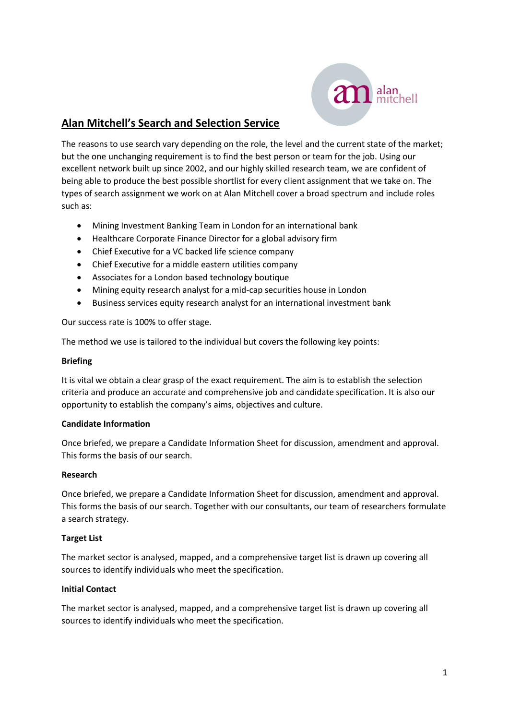

# **Alan Mitchell's Search and Selection Service**

The reasons to use search vary depending on the role, the level and the current state of the market; but the one unchanging requirement is to find the best person or team for the job. Using our excellent network built up since 2002, and our highly skilled research team, we are confident of being able to produce the best possible shortlist for every client assignment that we take on. The types of search assignment we work on at Alan Mitchell cover a broad spectrum and include roles such as:

- Mining Investment Banking Team in London for an international bank
- Healthcare Corporate Finance Director for a global advisory firm
- Chief Executive for a VC backed life science company
- Chief Executive for a middle eastern utilities company
- Associates for a London based technology boutique
- Mining equity research analyst for a mid-cap securities house in London
- Business services equity research analyst for an international investment bank

Our success rate is 100% to offer stage.

The method we use is tailored to the individual but covers the following key points:

### **Briefing**

It is vital we obtain a clear grasp of the exact requirement. The aim is to establish the selection criteria and produce an accurate and comprehensive job and candidate specification. It is also our opportunity to establish the company's aims, objectives and culture.

#### **Candidate Information**

Once briefed, we prepare a Candidate Information Sheet for discussion, amendment and approval. This forms the basis of our search.

#### **Research**

Once briefed, we prepare a Candidate Information Sheet for discussion, amendment and approval. This forms the basis of our search. Together with our consultants, our team of researchers formulate a search strategy.

#### **Target List**

The market sector is analysed, mapped, and a comprehensive target list is drawn up covering all sources to identify individuals who meet the specification.

#### **Initial Contact**

The market sector is analysed, mapped, and a comprehensive target list is drawn up covering all sources to identify individuals who meet the specification.